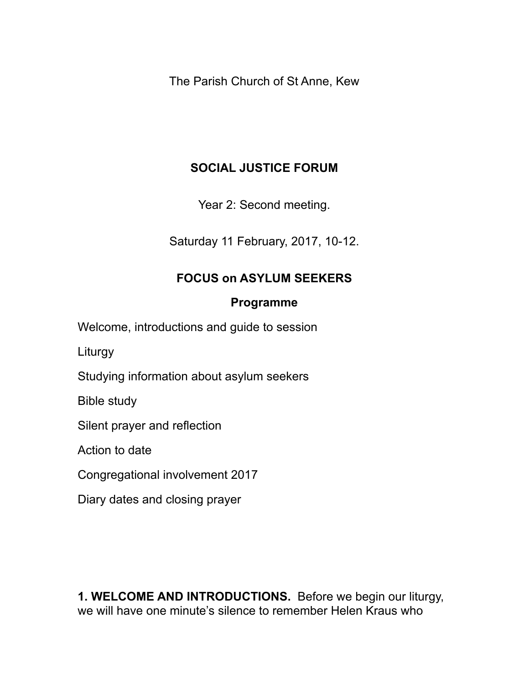The Parish Church of St Anne, Kew

# **SOCIAL JUSTICE FORUM**

Year 2: Second meeting.

Saturday 11 February, 2017, 10-12.

# **FOCUS on ASYLUM SEEKERS**

#### **Programme**

Welcome, introductions and guide to session

Liturgy

Studying information about asylum seekers

Bible study

Silent prayer and reflection

Action to date

Congregational involvement 2017

Diary dates and closing prayer

**1. WELCOME AND INTRODUCTIONS.** Before we begin our liturgy, we will have one minute's silence to remember Helen Kraus who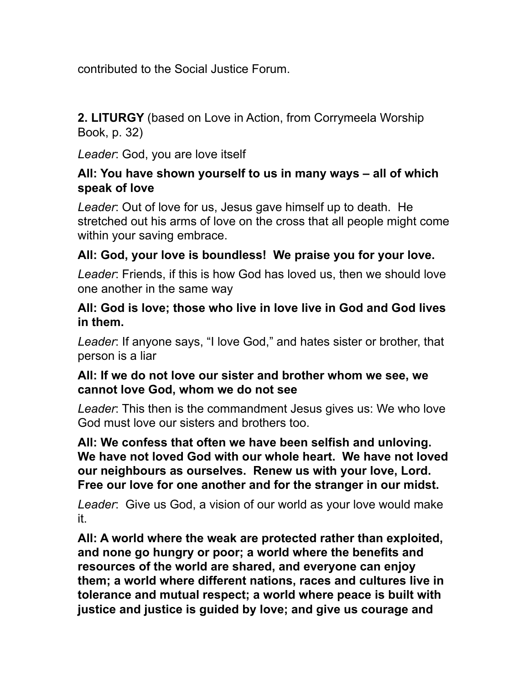contributed to the Social Justice Forum.

**2. LITURGY** (based on Love in Action, from Corrymeela Worship Book, p. 32)

*Leader*: God, you are love itself

#### **All: You have shown yourself to us in many ways – all of which speak of love**

*Leader*: Out of love for us, Jesus gave himself up to death. He stretched out his arms of love on the cross that all people might come within your saving embrace.

#### **All: God, your love is boundless! We praise you for your love.**

*Leader*: Friends, if this is how God has loved us, then we should love one another in the same way

#### **All: God is love; those who live in love live in God and God lives in them.**

*Leader*: If anyone says, "I love God," and hates sister or brother, that person is a liar

#### **All: If we do not love our sister and brother whom we see, we cannot love God, whom we do not see**

*Leader*: This then is the commandment Jesus gives us: We who love God must love our sisters and brothers too.

**All: We confess that often we have been selfish and unloving. We have not loved God with our whole heart. We have not loved our neighbours as ourselves. Renew us with your love, Lord. Free our love for one another and for the stranger in our midst.** 

*Leader*: Give us God, a vision of our world as your love would make it.

**All: A world where the weak are protected rather than exploited, and none go hungry or poor; a world where the benefits and resources of the world are shared, and everyone can enjoy them; a world where different nations, races and cultures live in tolerance and mutual respect; a world where peace is built with justice and justice is guided by love; and give us courage and**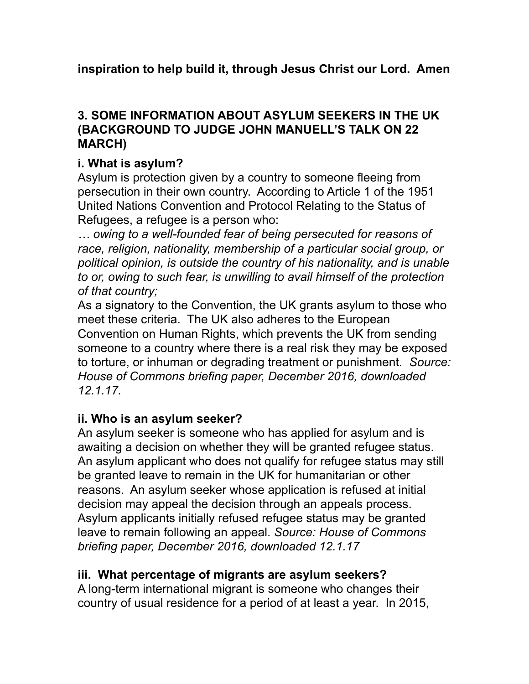**inspiration to help build it, through Jesus Christ our Lord. Amen** 

#### **3. SOME INFORMATION ABOUT ASYLUM SEEKERS IN THE UK (BACKGROUND TO JUDGE JOHN MANUELL'S TALK ON 22 MARCH)**

#### **i. What is asylum?**

Asylum is protection given by a country to someone fleeing from persecution in their own country. According to Article 1 of the 1951 United Nations Convention and Protocol Relating to the Status of Refugees, a refugee is a person who:

*… owing to a well-founded fear of being persecuted for reasons of race, religion, nationality, membership of a particular social group, or political opinion, is outside the country of his nationality, and is unable to or, owing to such fear, is unwilling to avail himself of the protection of that country;*

As a signatory to the Convention, the UK grants asylum to those who meet these criteria. The UK also adheres to the European Convention on Human Rights, which prevents the UK from sending someone to a country where there is a real risk they may be exposed to torture, or inhuman or degrading treatment or punishment. *Source: House of Commons briefing paper, December 2016, downloaded 12.1.17.* 

#### **ii. Who is an asylum seeker?**

An asylum seeker is someone who has applied for asylum and is awaiting a decision on whether they will be granted refugee status. An asylum applicant who does not qualify for refugee status may still be granted leave to remain in the UK for humanitarian or other reasons. An asylum seeker whose application is refused at initial decision may appeal the decision through an appeals process. Asylum applicants initially refused refugee status may be granted leave to remain following an appeal. *Source: House of Commons briefing paper, December 2016, downloaded 12.1.17*

#### **iii. What percentage of migrants are asylum seekers?**

A long-term international migrant is someone who changes their country of usual residence for a period of at least a year. In 2015,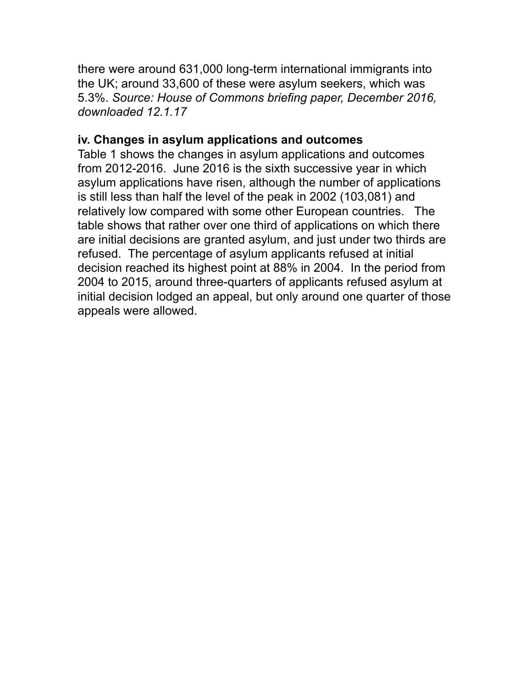there were around 631,000 long-term international immigrants into the UK; around 33,600 of these were asylum seekers, which was 5.3%. *Source: House of Commons briefing paper, December 2016, downloaded 12.1.17*

#### **iv. Changes in asylum applications and outcomes**

Table 1 shows the changes in asylum applications and outcomes from 2012-2016. June 2016 is the sixth successive year in which asylum applications have risen, although the number of applications is still less than half the level of the peak in 2002 (103,081) and relatively low compared with some other European countries. The table shows that rather over one third of applications on which there are initial decisions are granted asylum, and just under two thirds are refused. The percentage of asylum applicants refused at initial decision reached its highest point at 88% in 2004. In the period from 2004 to 2015, around three-quarters of applicants refused asylum at initial decision lodged an appeal, but only around one quarter of those appeals were allowed.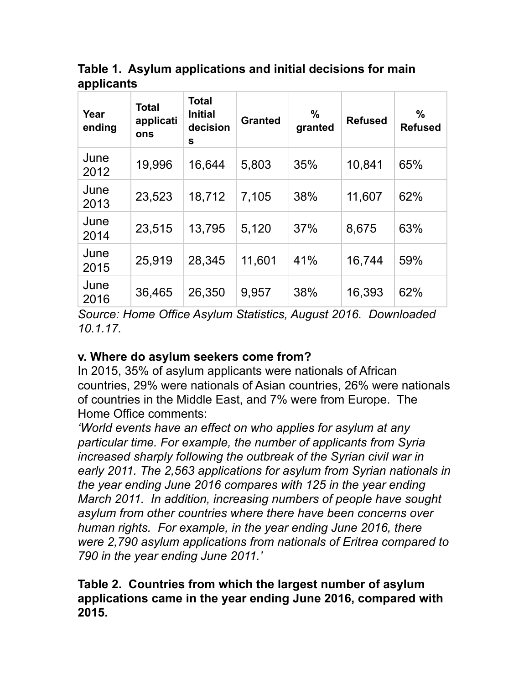**Table 1. Asylum applications and initial decisions for main applicants**

| Year<br>ending | Total<br>applicati<br>ons | <b>Total</b><br><b>Initial</b><br>decision<br>S | <b>Granted</b> | $\frac{0}{0}$<br>granted | <b>Refused</b> | $\%$<br><b>Refused</b> |
|----------------|---------------------------|-------------------------------------------------|----------------|--------------------------|----------------|------------------------|
| June<br>2012   | 19,996                    | 16,644                                          | 5,803          | 35%                      | 10,841         | 65%                    |
| June<br>2013   | 23,523                    | 18,712                                          | 7,105          | 38%                      | 11,607         | 62%                    |
| June<br>2014   | 23,515                    | 13,795                                          | 5,120          | 37%                      | 8,675          | 63%                    |
| June<br>2015   | 25,919                    | 28,345                                          | 11,601         | 41%                      | 16,744         | 59%                    |
| June<br>2016   | 36,465                    | 26,350                                          | 9,957          | 38%                      | 16,393         | 62%                    |

*Source: Home Office Asylum Statistics, August 2016. Downloaded 10.1.17.* 

#### **v. Where do asylum seekers come from?**

In 2015, 35% of asylum applicants were nationals of African countries, 29% were nationals of Asian countries, 26% were nationals of countries in the Middle East, and 7% were from Europe. The Home Office comments:

*'World events have an effect on who applies for asylum at any particular time. For example, the number of applicants from Syria increased sharply following the outbreak of the Syrian civil war in early 2011. The 2,563 applications for asylum from Syrian nationals in the year ending June 2016 compares with 125 in the year ending March 2011. In addition, increasing numbers of people have sought asylum from other countries where there have been concerns over human rights. For example, in the year ending June 2016, there were 2,790 asylum applications from nationals of Eritrea compared to 790 in the year ending June 2011.'*

#### **Table 2. Countries from which the largest number of asylum applications came in the year ending June 2016, compared with 2015.**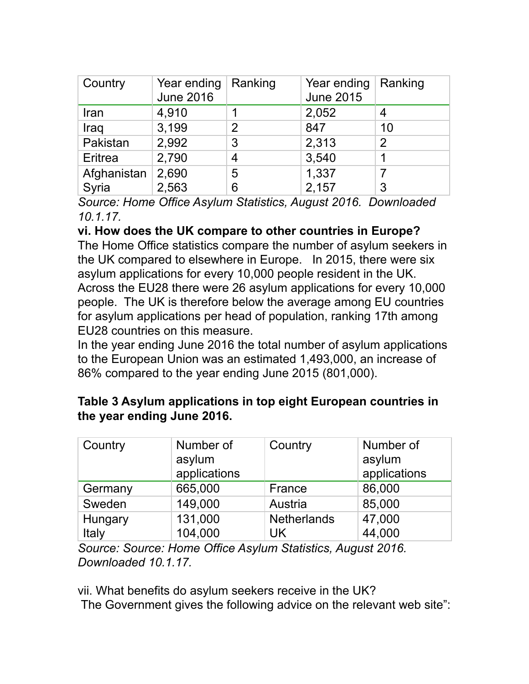| Country     | Year ending<br><b>June 2016</b> | Ranking        | Year ending<br><b>June 2015</b> | Ranking       |
|-------------|---------------------------------|----------------|---------------------------------|---------------|
| Iran        | 4,910                           |                | 2,052                           |               |
| Iraq        | 3,199                           | $\overline{2}$ | 847                             | 10            |
| Pakistan    | 2,992                           | 3              | 2,313                           | $\mathcal{P}$ |
| Eritrea     | 2,790                           | 4              | 3,540                           |               |
| Afghanistan | 2,690                           | 5              | 1,337                           |               |
| Syria       | 2,563                           | 6              | 2,157                           | 3             |

*Source: Home Office Asylum Statistics, August 2016. Downloaded 10.1.17.* 

#### **vi. How does the UK compare to other countries in Europe?**

The Home Office statistics compare the number of asylum seekers in the UK compared to elsewhere in Europe. In 2015, there were six asylum applications for every 10,000 people resident in the UK. Across the EU28 there were 26 asylum applications for every 10,000 people. The UK is therefore below the average among EU countries for asylum applications per head of population, ranking 17th among EU28 countries on this measure.

In the year ending June 2016 the total number of asylum applications to the European Union was an estimated 1,493,000, an increase of 86% compared to the year ending June 2015 (801,000).

#### **Table 3 Asylum applications in top eight European countries in the year ending June 2016.**

| Country | Number of    | Country            | Number of    |
|---------|--------------|--------------------|--------------|
|         | asylum       |                    | asylum       |
|         | applications |                    | applications |
| Germany | 665,000      | France             | 86,000       |
| Sweden  | 149,000      | Austria            | 85,000       |
| Hungary | 131,000      | <b>Netherlands</b> | 47,000       |
| Italy   | 104,000      | UK                 | 44,000       |

*Source: Source: Home Office Asylum Statistics, August 2016. Downloaded 10.1.17.* 

vii. What benefits do asylum seekers receive in the UK? The Government gives the following advice on the relevant web site":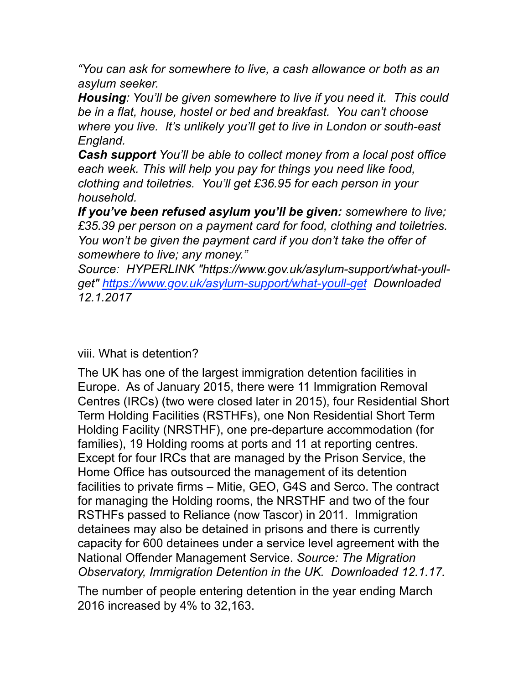*"You can ask for somewhere to live, a cash allowance or both as an asylum seeker.*

*Housing: You'll be given somewhere to live if you need it. This could be in a flat, house, hostel or bed and breakfast. You can't choose where you live. It's unlikely you'll get to live in London or south-east England.*

*Cash support You'll be able to collect money from a local post office each week. This will help you pay for things you need like food, clothing and toiletries. You'll get £36.95 for each person in your household.*

*If you've been refused asylum you'll be given: somewhere to live; £35.39 per person on a payment card for food, clothing and toiletries. You won't be given the payment card if you don't take the offer of somewhere to live; any money."*

*Source: HYPERLINK "https://www.gov.uk/asylum-support/what-youllget" https://www.gov.uk/asylum-support/what-youll-get Downloaded 12.1.2017*

viii. What is detention?

The UK has one of the largest immigration detention facilities in Europe. As of January 2015, there were 11 Immigration Removal Centres (IRCs) (two were closed later in 2015), four Residential Short Term Holding Facilities (RSTHFs), one Non Residential Short Term Holding Facility (NRSTHF), one pre-departure accommodation (for families), 19 Holding rooms at ports and 11 at reporting centres. Except for four IRCs that are managed by the Prison Service, the Home Office has outsourced the management of its detention facilities to private firms – Mitie, GEO, G4S and Serco. The contract for managing the Holding rooms, the NRSTHF and two of the four RSTHFs passed to Reliance (now Tascor) in 2011. Immigration detainees may also be detained in prisons and there is currently capacity for 600 detainees under a service level agreement with the National Offender Management Service. *Source: The Migration Observatory, Immigration Detention in the UK. Downloaded 12.1.17.* 

The number of people entering detention in the year ending March 2016 increased by 4% to 32,163.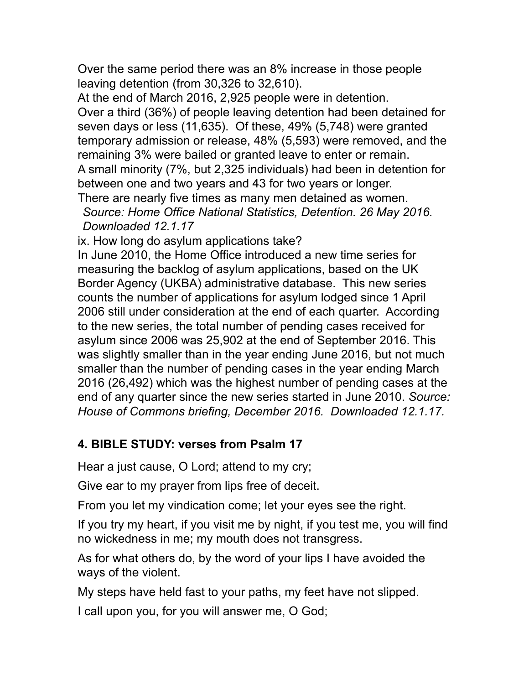Over the same period there was an 8% increase in those people leaving detention (from 30,326 to 32,610).

At the end of March 2016, 2,925 people were in detention. Over a third (36%) of people leaving detention had been detained for seven days or less (11,635). Of these, 49% (5,748) were granted temporary admission or release, 48% (5,593) were removed, and the remaining 3% were bailed or granted leave to enter or remain. A small minority (7%, but 2,325 individuals) had been in detention for between one and two years and 43 for two years or longer.

There are nearly five times as many men detained as women. *Source: Home Office National Statistics, Detention. 26 May 2016. Downloaded 12.1.17*

ix. How long do asylum applications take?

In June 2010, the Home Office introduced a new time series for measuring the backlog of asylum applications, based on the UK Border Agency (UKBA) administrative database. This new series counts the number of applications for asylum lodged since 1 April 2006 still under consideration at the end of each quarter. According to the new series, the total number of pending cases received for asylum since 2006 was 25,902 at the end of September 2016. This was slightly smaller than in the year ending June 2016, but not much smaller than the number of pending cases in the year ending March 2016 (26,492) which was the highest number of pending cases at the end of any quarter since the new series started in June 2010. *Source: House of Commons briefing, December 2016. Downloaded 12.1.17.*

#### **4. BIBLE STUDY: verses from Psalm 17**

Hear a just cause, O Lord; attend to my cry;

Give ear to my prayer from lips free of deceit.

From you let my vindication come; let your eyes see the right.

If you try my heart, if you visit me by night, if you test me, you will find no wickedness in me; my mouth does not transgress.

As for what others do, by the word of your lips I have avoided the ways of the violent.

My steps have held fast to your paths, my feet have not slipped.

I call upon you, for you will answer me, O God;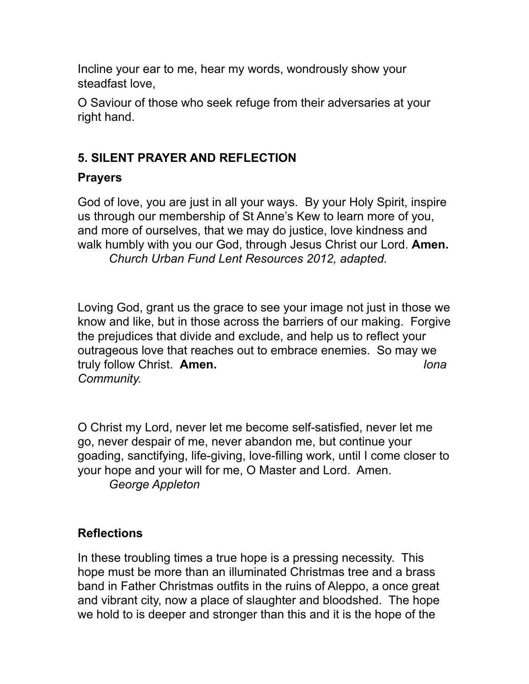Incline your ear to me, hear my words, wondrously show your steadfast love,

O Saviour of those who seek refuge from their adversaries at your right hand.

# **5. SILENT PRAYER AND REFLECTION**

# **Prayers**

God of love, you are just in all your ways. By your Holy Spirit, inspire us through our membership of St Anne's Kew to learn more of you, and more of ourselves, that we may do justice, love kindness and walk humbly with you our God, through Jesus Christ our Lord. **Amen.**  *Church Urban Fund Lent Resources 2012, adapted.*

Loving God, grant us the grace to see your image not just in those we know and like, but in those across the barriers of our making. Forgive the prejudices that divide and exclude, and help us to reflect your outrageous love that reaches out to embrace enemies. So may we truly follow Christ. **Amen.** *Iona Community.*

O Christ my Lord, never let me become self-satisfied, never let me go, never despair of me, never abandon me, but continue your goading, sanctifying, life-giving, love-filling work, until I come closer to your hope and your will for me, O Master and Lord. Amen. *George Appleton*

# **Reflections**

In these troubling times a true hope is a pressing necessity. This hope must be more than an illuminated Christmas tree and a brass band in Father Christmas outfits in the ruins of Aleppo, a once great and vibrant city, now a place of slaughter and bloodshed. The hope we hold to is deeper and stronger than this and it is the hope of the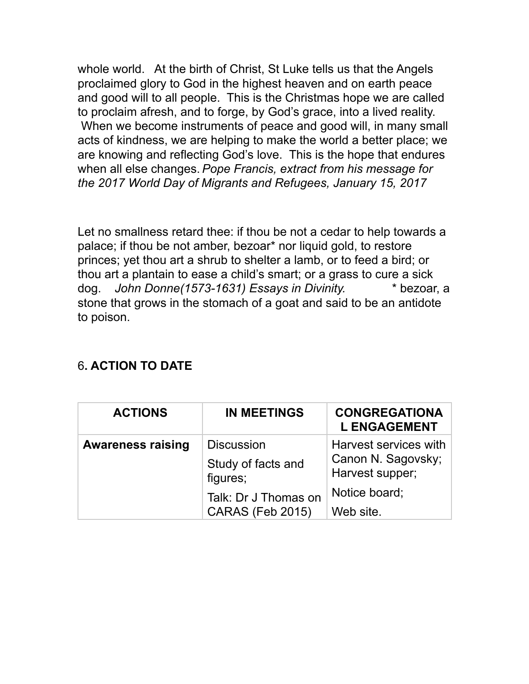whole world. At the birth of Christ, St Luke tells us that the Angels proclaimed glory to God in the highest heaven and on earth peace and good will to all people. This is the Christmas hope we are called to proclaim afresh, and to forge, by God's grace, into a lived reality. When we become instruments of peace and good will, in many small acts of kindness, we are helping to make the world a better place; we are knowing and reflecting God's love. This is the hope that endures when all else changes. *Pope Francis, extract from his message for the 2017 World Day of Migrants and Refugees, January 15, 2017*

Let no smallness retard thee: if thou be not a cedar to help towards a palace; if thou be not amber, bezoar\* nor liquid gold, to restore princes; yet thou art a shrub to shelter a lamb, or to feed a bird; or thou art a plantain to ease a child's smart; or a grass to cure a sick dog. *John Donne(1573-1631) Essays in Divinity.* \* bezoar, a stone that grows in the stomach of a goat and said to be an antidote to poison.

| <b>ACTIONS</b>           | <b>IN MEETINGS</b>                                                          | <b>CONGREGATIONA</b><br><b>L ENGAGEMENT</b>                                     |
|--------------------------|-----------------------------------------------------------------------------|---------------------------------------------------------------------------------|
| <b>Awareness raising</b> | <b>Discussion</b><br>Study of facts and<br>figures;<br>Talk: Dr J Thomas on | Harvest services with<br>Canon N. Sagovsky;<br>Harvest supper;<br>Notice board; |
|                          | CARAS (Feb 2015)                                                            | Web site.                                                                       |

# 6**. ACTION TO DATE**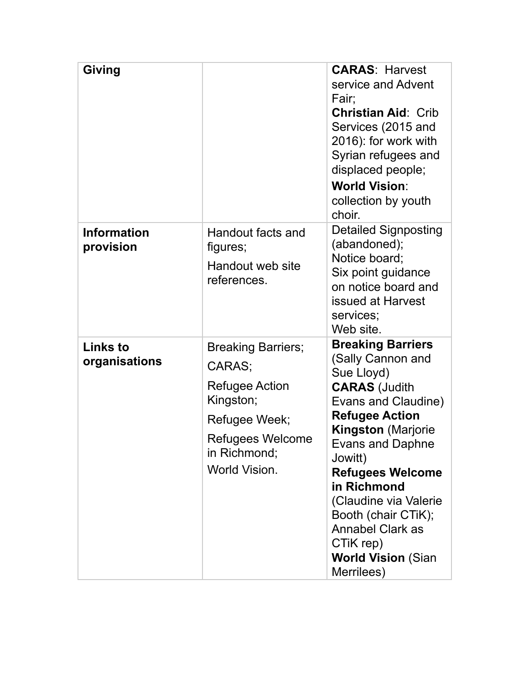| <b>Giving</b>                    |                                                                                                                                          | <b>CARAS: Harvest</b><br>service and Advent<br>Fair;<br><b>Christian Aid: Crib</b><br>Services (2015 and<br>2016): for work with<br>Syrian refugees and<br>displaced people;<br><b>World Vision:</b><br>collection by youth<br>choir.                                                                                                                                               |
|----------------------------------|------------------------------------------------------------------------------------------------------------------------------------------|-------------------------------------------------------------------------------------------------------------------------------------------------------------------------------------------------------------------------------------------------------------------------------------------------------------------------------------------------------------------------------------|
| <b>Information</b><br>provision  | Handout facts and<br>figures;<br>Handout web site<br>references.                                                                         | <b>Detailed Signposting</b><br>(abandoned);<br>Notice board;<br>Six point guidance<br>on notice board and<br>issued at Harvest<br>services;<br>Web site.                                                                                                                                                                                                                            |
| <b>Links to</b><br>organisations | <b>Breaking Barriers;</b><br>CARAS;<br>Refugee Action<br>Kingston;<br>Refugee Week;<br>Refugees Welcome<br>in Richmond;<br>World Vision. | <b>Breaking Barriers</b><br>(Sally Cannon and<br>Sue Lloyd)<br><b>CARAS (Judith</b><br>Evans and Claudine)<br><b>Refugee Action</b><br><b>Kingston (Marjorie</b><br><b>Evans and Daphne</b><br>Jowitt)<br><b>Refugees Welcome</b><br>in Richmond<br>(Claudine via Valerie<br>Booth (chair CTiK);<br><b>Annabel Clark as</b><br>CTiK rep)<br><b>World Vision (Sian</b><br>Merrilees) |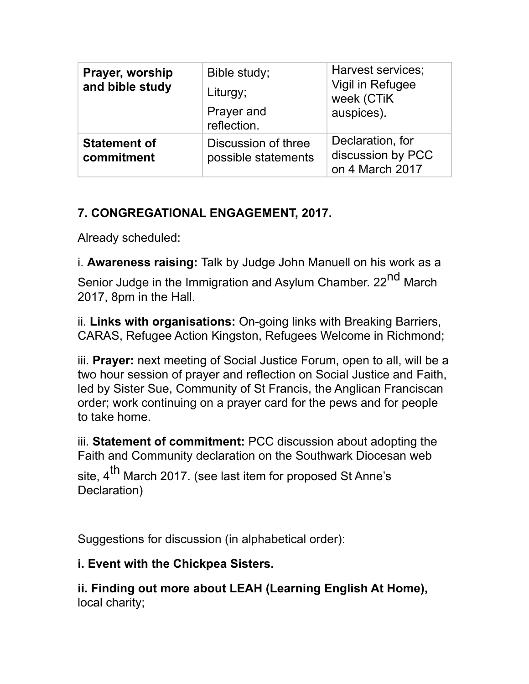| Prayer, worship<br>and bible study | Bible study;<br>Liturgy;<br>Prayer and<br>reflection. | Harvest services;<br>Vigil in Refugee<br>week (CTiK<br>auspices). |
|------------------------------------|-------------------------------------------------------|-------------------------------------------------------------------|
| <b>Statement of</b><br>commitment  | Discussion of three<br>possible statements            | Declaration, for<br>discussion by PCC<br>on 4 March 2017          |

# **7. CONGREGATIONAL ENGAGEMENT, 2017.**

Already scheduled:

i. **Awareness raising:** Talk by Judge John Manuell on his work as a Senior Judge in the Immigration and Asylum Chamber. 22<sup>nd</sup> March 2017, 8pm in the Hall.

ii. **Links with organisations:** On-going links with Breaking Barriers, CARAS, Refugee Action Kingston, Refugees Welcome in Richmond;

iii. **Prayer:** next meeting of Social Justice Forum, open to all, will be a two hour session of prayer and reflection on Social Justice and Faith, led by Sister Sue, Community of St Francis, the Anglican Franciscan order; work continuing on a prayer card for the pews and for people to take home.

iii. **Statement of commitment:** PCC discussion about adopting the Faith and Community declaration on the Southwark Diocesan web

site, 4<sup>th</sup> March 2017. (see last item for proposed St Anne's Declaration)

Suggestions for discussion (in alphabetical order):

#### **i. Event with the Chickpea Sisters.**

**ii. Finding out more about LEAH (Learning English At Home),**  local charity;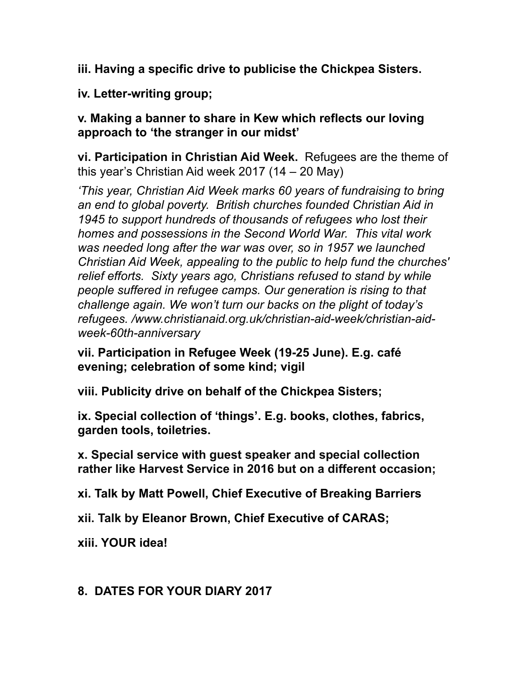**iii. Having a specific drive to publicise the Chickpea Sisters.** 

**iv. Letter-writing group;**

**v. Making a banner to share in Kew which reflects our loving approach to 'the stranger in our midst'**

**vi. Participation in Christian Aid Week.** Refugees are the theme of this year's Christian Aid week 2017 (14 – 20 May)

*'This year, Christian Aid Week marks 60 years of fundraising to bring an end to global poverty. British churches founded Christian Aid in 1945 to support hundreds of thousands of refugees who lost their homes and possessions in the Second World War. This vital work was needed long after the war was over, so in 1957 we launched Christian Aid Week, appealing to the public to help fund the churches' relief efforts. Sixty years ago, Christians refused to stand by while people suffered in refugee camps. Our generation is rising to that challenge again. We won't turn our backs on the plight of today's refugees. /www.christianaid.org.uk/christian-aid-week/christian-aidweek-60th-anniversary*

**vii. Participation in Refugee Week (19-25 June). E.g. café evening; celebration of some kind; vigil** 

**viii. Publicity drive on behalf of the Chickpea Sisters;**

**ix. Special collection of 'things'. E.g. books, clothes, fabrics, garden tools, toiletries.**

**x. Special service with guest speaker and special collection rather like Harvest Service in 2016 but on a different occasion;** 

**xi. Talk by Matt Powell, Chief Executive of Breaking Barriers**

**xii. Talk by Eleanor Brown, Chief Executive of CARAS;**

**xiii. YOUR idea!** 

#### **8. DATES FOR YOUR DIARY 2017**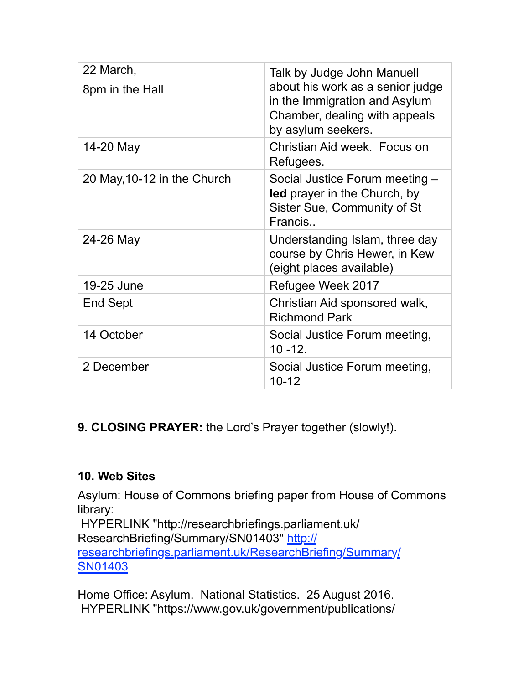| 22 March,                   | Talk by Judge John Manuell                                                                                               |
|-----------------------------|--------------------------------------------------------------------------------------------------------------------------|
| 8pm in the Hall             | about his work as a senior judge<br>in the Immigration and Asylum<br>Chamber, dealing with appeals<br>by asylum seekers. |
| 14-20 May                   | Christian Aid week. Focus on<br>Refugees.                                                                                |
| 20 May, 10-12 in the Church | Social Justice Forum meeting -<br>led prayer in the Church, by<br>Sister Sue, Community of St<br>Francis                 |
| 24-26 May                   | Understanding Islam, three day<br>course by Chris Hewer, in Kew<br>(eight places available)                              |
| 19-25 June                  | Refugee Week 2017                                                                                                        |
| End Sept                    | Christian Aid sponsored walk,<br><b>Richmond Park</b>                                                                    |
| 14 October                  | Social Justice Forum meeting,<br>$10 - 12.$                                                                              |
| 2 December                  | Social Justice Forum meeting,<br>$10 - 12$                                                                               |

**9. CLOSING PRAYER:** the Lord's Prayer together (slowly!).

#### **10. Web Sites**

Asylum: House of Commons briefing paper from House of Commons library:

 HYPERLINK "http://researchbriefings.parliament.uk/ ResearchBriefing/Summary/SN01403" http:// researchbriefings.parliament.uk/ResearchBriefing/Summary/ SN01403

Home Office: Asylum. National Statistics. 25 August 2016. HYPERLINK "https://www.gov.uk/government/publications/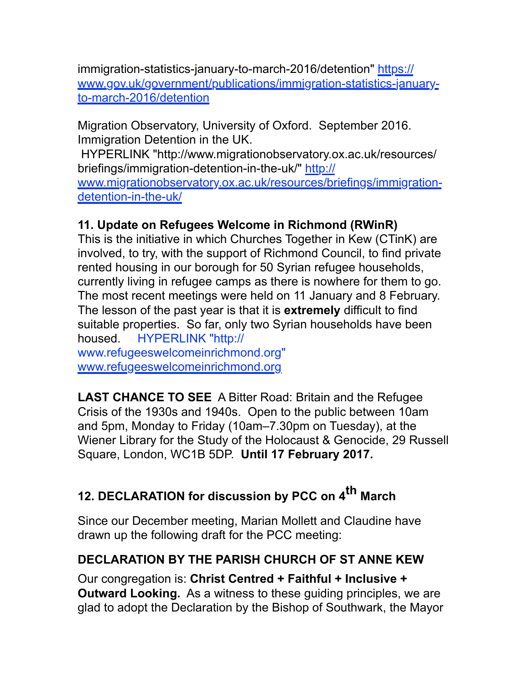immigration-statistics-january-to-march-2016/detention" https:// www.gov.uk/government/publications/immigration-statistics-januaryto-march-2016/detention

Migration Observatory, University of Oxford. September 2016. Immigration Detention in the UK.

 HYPERLINK "http://www.migrationobservatory.ox.ac.uk/resources/ briefings/immigration-detention-in-the-uk/" http://

www.migrationobservatory.ox.ac.uk/resources/briefings/immigrationdetention-in-the-uk/

# **11. Update on Refugees Welcome in Richmond (RWinR)**

This is the initiative in which Churches Together in Kew (CTinK) are involved, to try, with the support of Richmond Council, to find private rented housing in our borough for 50 Syrian refugee households, currently living in refugee camps as there is nowhere for them to go. The most recent meetings were held on 11 January and 8 February. The lesson of the past year is that it is **extremely** difficult to find suitable properties. So far, only two Syrian households have been housed. HYPERLINK "http:// www.refugeeswelcomeinrichmond.org"

www.refugeeswelcomeinrichmond.org

**LAST CHANCE TO SEE** A Bitter Road: Britain and the Refugee Crisis of the 1930s and 1940s. Open to the public between 10am and 5pm, Monday to Friday (10am–7.30pm on Tuesday), at the Wiener Library for the Study of the Holocaust & Genocide, 29 Russell Square, London, WC1B 5DP. **Until 17 February 2017.**

# **12. DECLARATION for discussion by PCC on 4th March**

Since our December meeting, Marian Mollett and Claudine have drawn up the following draft for the PCC meeting:

# **DECLARATION BY THE PARISH CHURCH OF ST ANNE KEW**

Our congregation is: **Christ Centred + Faithful + Inclusive + Outward Looking.** As a witness to these guiding principles, we are glad to adopt the Declaration by the Bishop of Southwark, the Mayor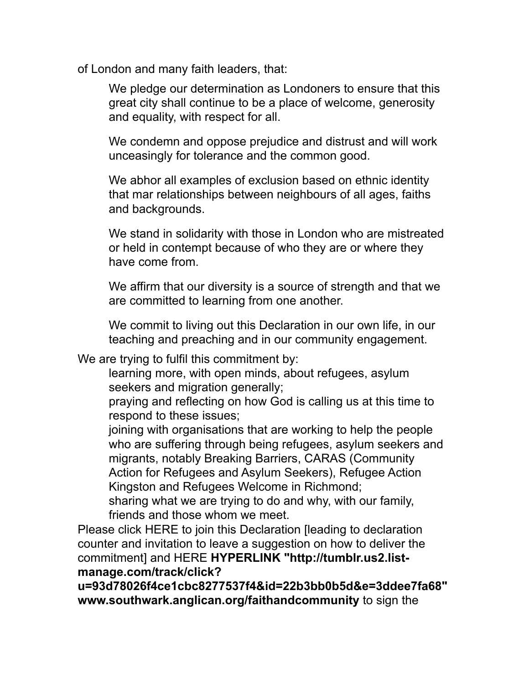of London and many faith leaders, that:

We pledge our determination as Londoners to ensure that this great city shall continue to be a place of welcome, generosity and equality, with respect for all.

We condemn and oppose prejudice and distrust and will work unceasingly for tolerance and the common good.

We abhor all examples of exclusion based on ethnic identity that mar relationships between neighbours of all ages, faiths and backgrounds.

We stand in solidarity with those in London who are mistreated or held in contempt because of who they are or where they have come from.

We affirm that our diversity is a source of strength and that we are committed to learning from one another.

We commit to living out this Declaration in our own life, in our teaching and preaching and in our community engagement.

We are trying to fulfil this commitment by:

learning more, with open minds, about refugees, asylum seekers and migration generally;

praying and reflecting on how God is calling us at this time to respond to these issues;

joining with organisations that are working to help the people who are suffering through being refugees, asylum seekers and migrants, notably Breaking Barriers, CARAS (Community Action for Refugees and Asylum Seekers), Refugee Action Kingston and Refugees Welcome in Richmond;

sharing what we are trying to do and why, with our family, friends and those whom we meet.

Please click HERE to join this Declaration [leading to declaration counter and invitation to leave a suggestion on how to deliver the commitment] and HERE **HYPERLINK "http://tumblr.us2.listmanage.com/track/click?**

**u=93d78026f4ce1cbc8277537f4&id=22b3bb0b5d&e=3ddee7fa68" www.southwark.anglican.org/faithandcommunity** to sign the